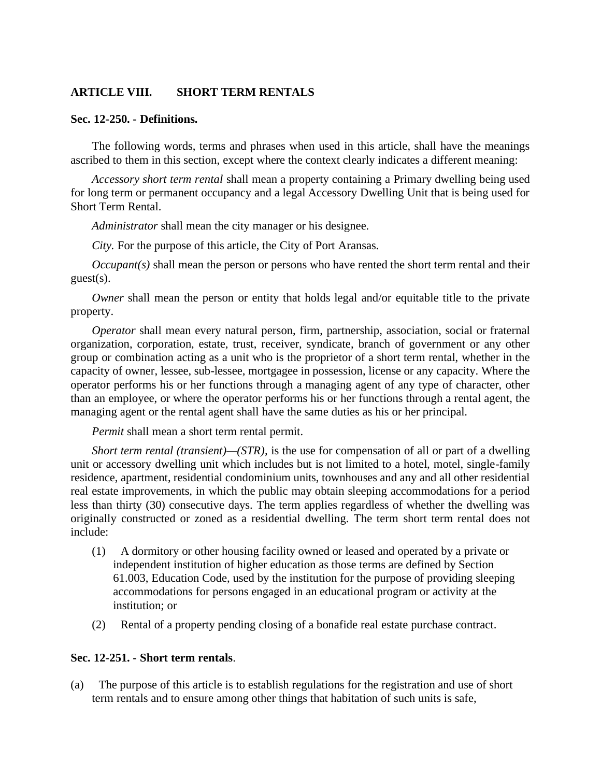## **ARTICLE VIII. SHORT TERM RENTALS**

#### **Sec. 12-250. - Definitions.**

The following words, terms and phrases when used in this article, shall have the meanings ascribed to them in this section, except where the context clearly indicates a different meaning:

*Accessory short term rental* shall mean a property containing a Primary dwelling being used for long term or permanent occupancy and a legal Accessory Dwelling Unit that is being used for Short Term Rental.

*Administrator* shall mean the city manager or his designee.

*City.* For the purpose of this article, the City of Port Aransas.

*Occupant(s)* shall mean the person or persons who have rented the short term rental and their guest(s).

*Owner* shall mean the person or entity that holds legal and/or equitable title to the private property.

*Operator* shall mean every natural person, firm, partnership, association, social or fraternal organization, corporation, estate, trust, receiver, syndicate, branch of government or any other group or combination acting as a unit who is the proprietor of a short term rental, whether in the capacity of owner, lessee, sub-lessee, mortgagee in possession, license or any capacity. Where the operator performs his or her functions through a managing agent of any type of character, other than an employee, or where the operator performs his or her functions through a rental agent, the managing agent or the rental agent shall have the same duties as his or her principal.

*Permit* shall mean a short term rental permit.

*Short term rental (transient)—(STR),* is the use for compensation of all or part of a dwelling unit or accessory dwelling unit which includes but is not limited to a hotel, motel, single-family residence, apartment, residential condominium units, townhouses and any and all other residential real estate improvements, in which the public may obtain sleeping accommodations for a period less than thirty (30) consecutive days. The term applies regardless of whether the dwelling was originally constructed or zoned as a residential dwelling. The term short term rental does not include:

- (1) A dormitory or other housing facility owned or leased and operated by a private or independent institution of higher education as those terms are defined by Section 61.003, Education Code, used by the institution for the purpose of providing sleeping accommodations for persons engaged in an educational program or activity at the institution; or
- (2) Rental of a property pending closing of a bonafide real estate purchase contract.

#### **Sec. 12-251. - Short term rentals**.

(a) The purpose of this article is to establish regulations for the registration and use of short term rentals and to ensure among other things that habitation of such units is safe,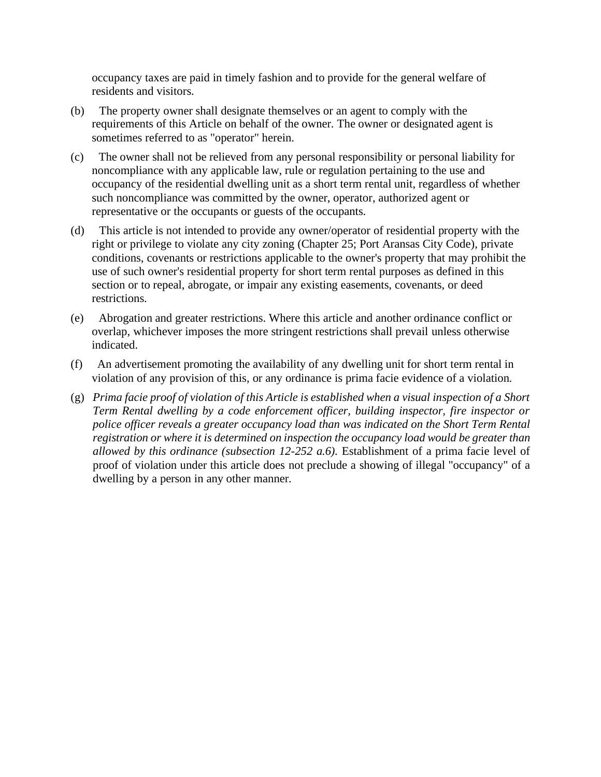occupancy taxes are paid in timely fashion and to provide for the general welfare of residents and visitors.

- (b) The property owner shall designate themselves or an agent to comply with the requirements of this Article on behalf of the owner. The owner or designated agent is sometimes referred to as "operator" herein.
- (c) The owner shall not be relieved from any personal responsibility or personal liability for noncompliance with any applicable law, rule or regulation pertaining to the use and occupancy of the residential dwelling unit as a short term rental unit, regardless of whether such noncompliance was committed by the owner, operator, authorized agent or representative or the occupants or guests of the occupants.
- (d) This article is not intended to provide any owner/operator of residential property with the right or privilege to violate any city zoning (Chapter 25; Port Aransas City Code), private conditions, covenants or restrictions applicable to the owner's property that may prohibit the use of such owner's residential property for short term rental purposes as defined in this section or to repeal, abrogate, or impair any existing easements, covenants, or deed restrictions.
- (e) Abrogation and greater restrictions. Where this article and another ordinance conflict or overlap, whichever imposes the more stringent restrictions shall prevail unless otherwise indicated.
- (f) An advertisement promoting the availability of any dwelling unit for short term rental in violation of any provision of this, or any ordinance is prima facie evidence of a violation.
- (g) *Prima facie proof of violation of this Article is established when a visual inspection of a Short Term Rental dwelling by a code enforcement officer, building inspector, fire inspector or police officer reveals a greater occupancy load than was indicated on the Short Term Rental registration or where it is determined on inspection the occupancy load would be greater than allowed by this ordinance (subsection 12-252 a.6).* Establishment of a prima facie level of proof of violation under this article does not preclude a showing of illegal "occupancy" of a dwelling by a person in any other manner.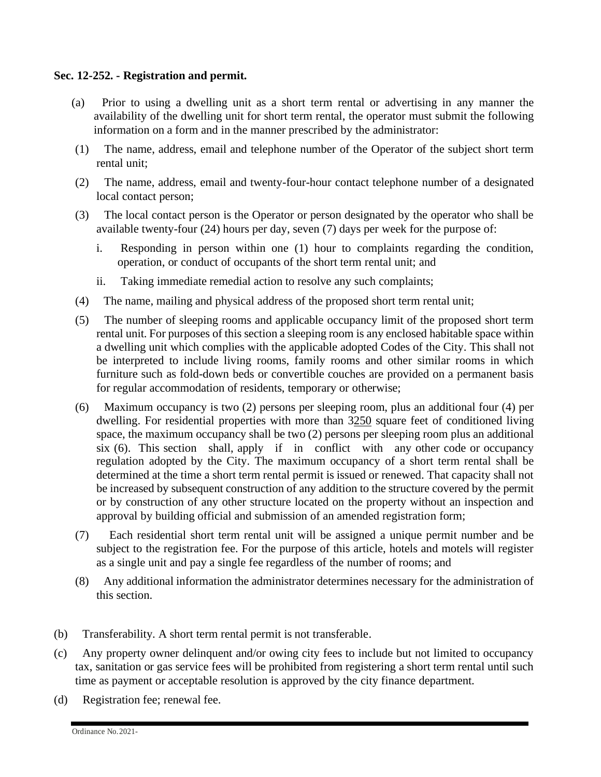## **Sec. 12-252. - Registration and permit.**

- (a) Prior to using a dwelling unit as a short term rental or advertising in any manner the availability of the dwelling unit for short term rental, the operator must submit the following information on a form and in the manner prescribed by the administrator:
- (1) The name, address, email and telephone number of the Operator of the subject short term rental unit;
- (2) The name, address, email and twenty-four-hour contact telephone number of a designated local contact person;
- (3) The local contact person is the Operator or person designated by the operator who shall be available twenty-four (24) hours per day, seven (7) days per week for the purpose of:
	- i. Responding in person within one (1) hour to complaints regarding the condition, operation, or conduct of occupants of the short term rental unit; and
	- ii. Taking immediate remedial action to resolve any such complaints;
- (4) The name, mailing and physical address of the proposed short term rental unit;
- (5) The number of sleeping rooms and applicable occupancy limit of the proposed short term rental unit. For purposes of this section a sleeping room is any enclosed habitable space within a dwelling unit which complies with the applicable adopted Codes of the City. This shall not be interpreted to include living rooms, family rooms and other similar rooms in which furniture such as fold-down beds or convertible couches are provided on a permanent basis for regular accommodation of residents, temporary or otherwise;
- (6) Maximum occupancy is two (2) persons per sleeping room, plus an additional four (4) per dwelling. For residential properties with more than 3250 square feet of conditioned living space, the maximum occupancy shall be two (2) persons per sleeping room plus an additional six (6). This section shall, apply if in conflict with any other code or occupancy regulation adopted by the City. The maximum occupancy of a short term rental shall be determined at the time a short term rental permit is issued or renewed. That capacity shall not be increased by subsequent construction of any addition to the structure covered by the permit or by construction of any other structure located on the property without an inspection and approval by building official and submission of an amended registration form;
- (7) Each residential short term rental unit will be assigned a unique permit number and be subject to the registration fee. For the purpose of this article, hotels and motels will register as a single unit and pay a single fee regardless of the number of rooms; and
- (8) Any additional information the administrator determines necessary for the administration of this section.
- (b) Transferability. A short term rental permit is not transferable.
- (c) Any property owner delinquent and/or owing city fees to include but not limited to occupancy tax, sanitation or gas service fees will be prohibited from registering a short term rental until such time as payment or acceptable resolution is approved by the city finance department.
- (d) Registration fee; renewal fee.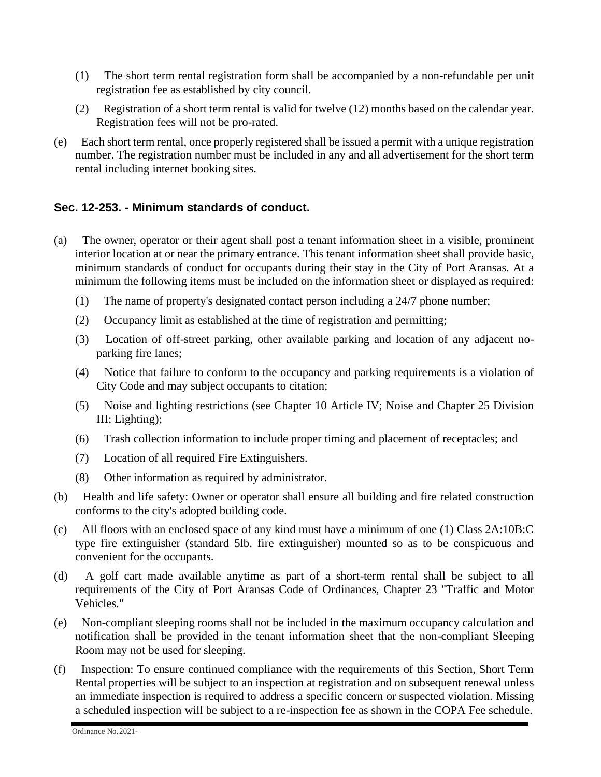- (1) The short term rental registration form shall be accompanied by a non-refundable per unit registration fee as established by city council.
- (2) Registration of a short term rental is valid for twelve (12) months based on the calendar year. Registration fees will not be pro-rated.
- (e) Each short term rental, once properly registered shall be issued a permit with a unique registration number. The registration number must be included in any and all advertisement for the short term rental including internet booking sites.

# **Sec. 12-253. - Minimum standards of conduct.**

- (a) The owner, operator or their agent shall post a tenant information sheet in a visible, prominent interior location at or near the primary entrance. This tenant information sheet shall provide basic, minimum standards of conduct for occupants during their stay in the City of Port Aransas. At a minimum the following items must be included on the information sheet or displayed as required:
	- (1) The name of property's designated contact person including a 24/7 phone number;
	- (2) Occupancy limit as established at the time of registration and permitting;
	- (3) Location of off-street parking, other available parking and location of any adjacent noparking fire lanes;
	- (4) Notice that failure to conform to the occupancy and parking requirements is a violation of City Code and may subject occupants to citation;
	- (5) Noise and lighting restrictions (see Chapter 10 Article IV; Noise and Chapter 25 Division III; Lighting);
	- (6) Trash collection information to include proper timing and placement of receptacles; and
	- (7) Location of all required Fire Extinguishers.
	- (8) Other information as required by administrator.
- (b) Health and life safety: Owner or operator shall ensure all building and fire related construction conforms to the city's adopted building code.
- (c) All floors with an enclosed space of any kind must have a minimum of one (1) Class 2A:10B:C type fire extinguisher (standard 5lb. fire extinguisher) mounted so as to be conspicuous and convenient for the occupants.
- (d) A golf cart made available anytime as part of a short-term rental shall be subject to all requirements of the City of Port Aransas Code of Ordinances, Chapter 23 "Traffic and Motor Vehicles."
- (e) Non-compliant sleeping rooms shall not be included in the maximum occupancy calculation and notification shall be provided in the tenant information sheet that the non-compliant Sleeping Room may not be used for sleeping.
- (f) Inspection: To ensure continued compliance with the requirements of this Section, Short Term Rental properties will be subject to an inspection at registration and on subsequent renewal unless an immediate inspection is required to address a specific concern or suspected violation. Missing a scheduled inspection will be subject to a re-inspection fee as shown in the COPA Fee schedule.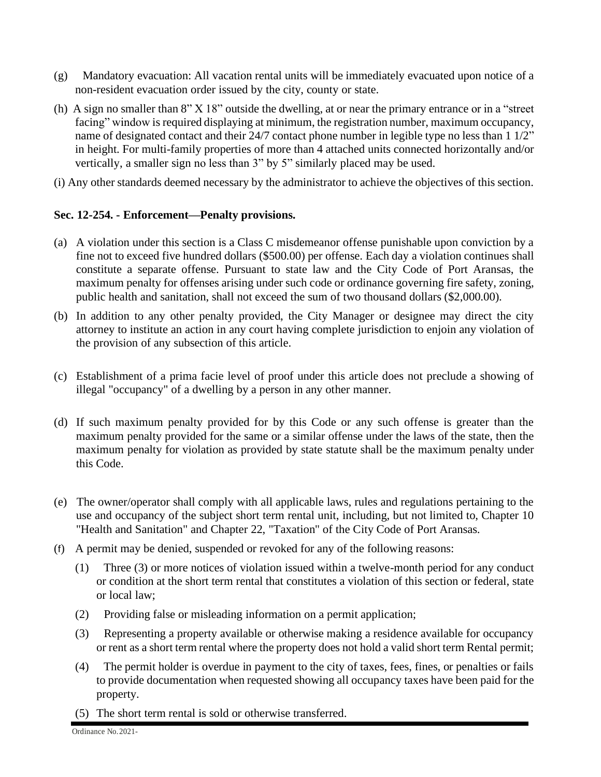- (g) Mandatory evacuation: All vacation rental units will be immediately evacuated upon notice of a non-resident evacuation order issued by the city, county or state.
- (h) A sign no smaller than 8" X 18" outside the dwelling, at or near the primary entrance or in a "street facing" window is required displaying at minimum, the registration number, maximum occupancy, name of designated contact and their 24/7 contact phone number in legible type no less than 1 1/2" in height. For multi-family properties of more than 4 attached units connected horizontally and/or vertically, a smaller sign no less than 3" by 5" similarly placed may be used.
- (i) Any other standards deemed necessary by the administrator to achieve the objectives of this section.

## **Sec. 12-254. - Enforcement—Penalty provisions.**

- (a) A violation under this section is a Class C misdemeanor offense punishable upon conviction by a fine not to exceed five hundred dollars (\$500.00) per offense. Each day a violation continues shall constitute a separate offense. Pursuant to state law and the City Code of Port Aransas, the maximum penalty for offenses arising under such code or ordinance governing fire safety, zoning, public health and sanitation, shall not exceed the sum of two thousand dollars (\$2,000.00).
- (b) In addition to any other penalty provided, the City Manager or designee may direct the city attorney to institute an action in any court having complete jurisdiction to enjoin any violation of the provision of any subsection of this article.
- (c) Establishment of a prima facie level of proof under this article does not preclude a showing of illegal "occupancy" of a dwelling by a person in any other manner.
- (d) If such maximum penalty provided for by this Code or any such offense is greater than the maximum penalty provided for the same or a similar offense under the laws of the state, then the maximum penalty for violation as provided by state statute shall be the maximum penalty under this Code.
- (e) The owner/operator shall comply with all applicable laws, rules and regulations pertaining to the use and occupancy of the subject short term rental unit, including, but not limited to, Chapter 10 "Health and Sanitation" and Chapter 22, "Taxation" of the City Code of Port Aransas.
- (f) A permit may be denied, suspended or revoked for any of the following reasons:
	- (1) Three (3) or more notices of violation issued within a twelve-month period for any conduct or condition at the short term rental that constitutes a violation of this section or federal, state or local law;
	- (2) Providing false or misleading information on a permit application;
	- (3) Representing a property available or otherwise making a residence available for occupancy or rent as a short term rental where the property does not hold a valid short term Rental permit;
	- (4) The permit holder is overdue in payment to the city of taxes, fees, fines, or penalties or fails to provide documentation when requested showing all occupancy taxes have been paid for the property.
	- (5) The short term rental is sold or otherwise transferred.